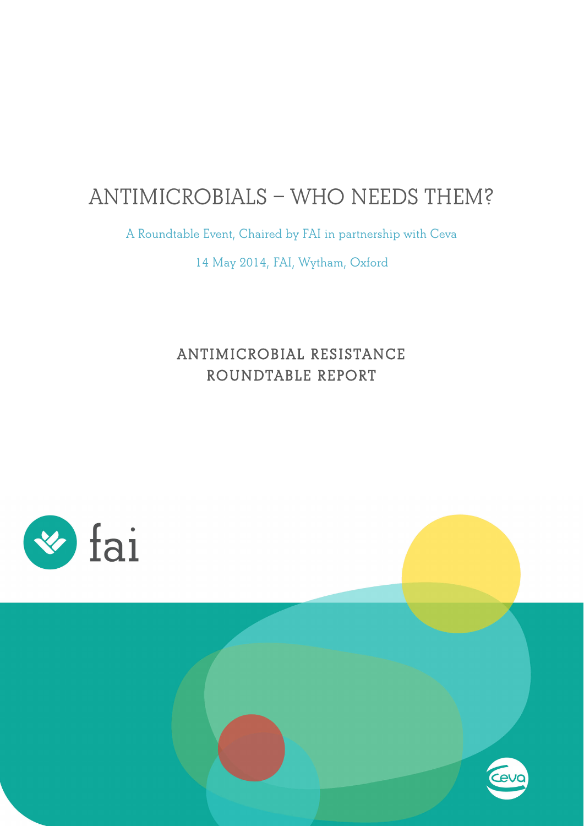# **ANTIMICROBIALS – WHO NEEDS THEM?**

**A Roundtable Event, Chaired by FAI in partnership with Ceva**

**14 May 2014, FAI, Wytham, Oxford**

# **ANTIMICROBIAL RESISTANCE ROUNDTABLE REPORT**



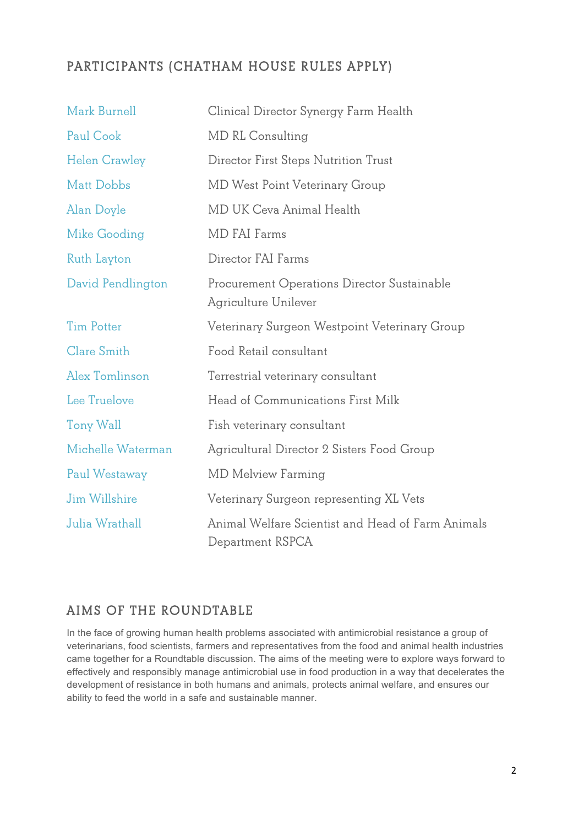### **PARTICIPANTS (CHATHAM HOUSE RULES APPLY)**

| Mark Burnell         | Clinical Director Synergy Farm Health                                 |
|----------------------|-----------------------------------------------------------------------|
| Paul Cook            | MD RL Consulting                                                      |
| <b>Helen Crawley</b> | Director First Steps Nutrition Trust                                  |
| <b>Matt Dobbs</b>    | MD West Point Veterinary Group                                        |
| Alan Doyle           | MD UK Ceva Animal Health                                              |
| Mike Gooding         | <b>MD FAI Farms</b>                                                   |
| Ruth Layton          | Director FAI Farms                                                    |
| David Pendlington    | Procurement Operations Director Sustainable<br>Agriculture Unilever   |
| <b>Tim Potter</b>    | Veterinary Surgeon Westpoint Veterinary Group                         |
| <b>Clare Smith</b>   | Food Retail consultant                                                |
| Alex Tomlinson       | Terrestrial veterinary consultant                                     |
| Lee Truelove         | Head of Communications First Milk                                     |
| Tony Wall            | Fish veterinary consultant                                            |
| Michelle Waterman    | Agricultural Director 2 Sisters Food Group                            |
| Paul Westaway        | <b>MD Melview Farming</b>                                             |
| Jim Willshire        | Veterinary Surgeon representing XL Vets                               |
| Julia Wrathall       | Animal Welfare Scientist and Head of Farm Animals<br>Department RSPCA |

### **AIMS OF THE ROUNDTABLE**

In the face of growing human health problems associated with antimicrobial resistance a group of veterinarians, food scientists, farmers and representatives from the food and animal health industries came together for a Roundtable discussion. The aims of the meeting were to explore ways forward to effectively and responsibly manage antimicrobial use in food production in a way that decelerates the development of resistance in both humans and animals, protects animal welfare, and ensures our ability to feed the world in a safe and sustainable manner.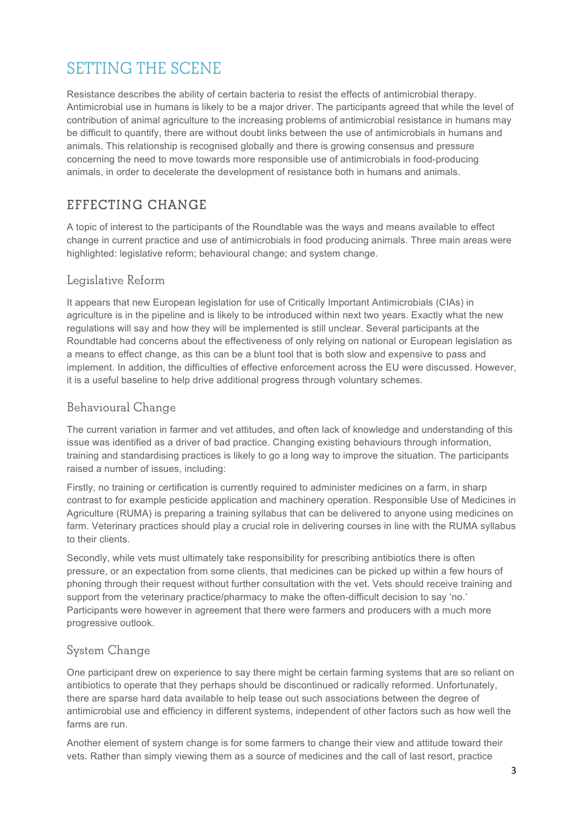# **SETTING THE SCENE**

Resistance describes the ability of certain bacteria to resist the effects of antimicrobial therapy. Antimicrobial use in humans is likely to be a major driver. The participants agreed that while the level of contribution of animal agriculture to the increasing problems of antimicrobial resistance in humans may be difficult to quantify, there are without doubt links between the use of antimicrobials in humans and animals. This relationship is recognised globally and there is growing consensus and pressure concerning the need to move towards more responsible use of antimicrobials in food-producing animals, in order to decelerate the development of resistance both in humans and animals.

## **EFFECTING CHANGE**

A topic of interest to the participants of the Roundtable was the ways and means available to effect change in current practice and use of antimicrobials in food producing animals. Three main areas were highlighted: legislative reform; behavioural change; and system change.

#### **Legislative Reform**

It appears that new European legislation for use of Critically Important Antimicrobials (CIAs) in agriculture is in the pipeline and is likely to be introduced within next two years. Exactly what the new regulations will say and how they will be implemented is still unclear. Several participants at the Roundtable had concerns about the effectiveness of only relying on national or European legislation as a means to effect change, as this can be a blunt tool that is both slow and expensive to pass and implement. In addition, the difficulties of effective enforcement across the EU were discussed. However, it is a useful baseline to help drive additional progress through voluntary schemes.

### **Behavioural Change**

The current variation in farmer and vet attitudes, and often lack of knowledge and understanding of this issue was identified as a driver of bad practice. Changing existing behaviours through information, training and standardising practices is likely to go a long way to improve the situation. The participants raised a number of issues, including:

Firstly, no training or certification is currently required to administer medicines on a farm, in sharp contrast to for example pesticide application and machinery operation. Responsible Use of Medicines in Agriculture (RUMA) is preparing a training syllabus that can be delivered to anyone using medicines on farm. Veterinary practices should play a crucial role in delivering courses in line with the RUMA syllabus to their clients.

Secondly, while vets must ultimately take responsibility for prescribing antibiotics there is often pressure, or an expectation from some clients, that medicines can be picked up within a few hours of phoning through their request without further consultation with the vet. Vets should receive training and support from the veterinary practice/pharmacy to make the often-difficult decision to say 'no.' Participants were however in agreement that there were farmers and producers with a much more progressive outlook.

### **System Change**

One participant drew on experience to say there might be certain farming systems that are so reliant on antibiotics to operate that they perhaps should be discontinued or radically reformed. Unfortunately, there are sparse hard data available to help tease out such associations between the degree of antimicrobial use and efficiency in different systems, independent of other factors such as how well the farms are run.

Another element of system change is for some farmers to change their view and attitude toward their vets. Rather than simply viewing them as a source of medicines and the call of last resort, practice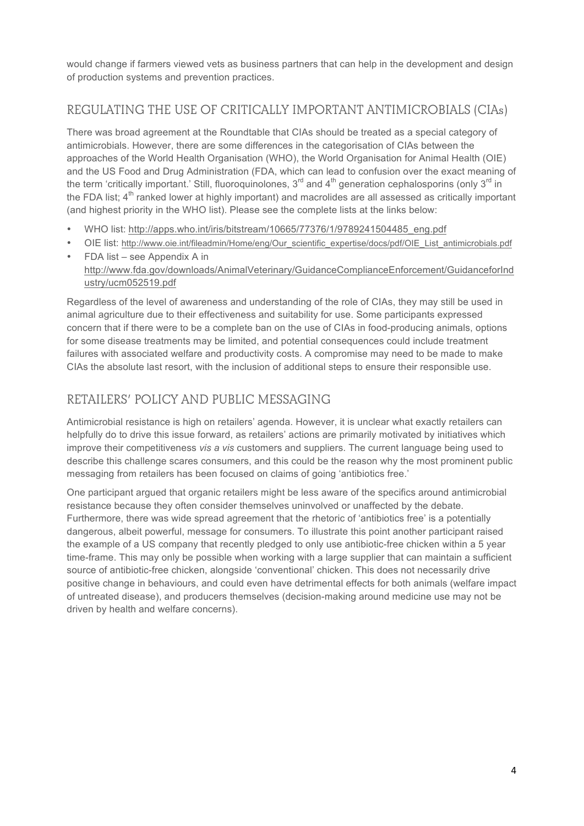would change if farmers viewed vets as business partners that can help in the development and design of production systems and prevention practices.

### **REGULATING THE USE OF CRITICALLY IMPORTANT ANTIMICROBIALS (CIAs)**

There was broad agreement at the Roundtable that CIAs should be treated as a special category of antimicrobials. However, there are some differences in the categorisation of CIAs between the approaches of the World Health Organisation (WHO), the World Organisation for Animal Health (OIE) and the US Food and Drug Administration (FDA, which can lead to confusion over the exact meaning of the term 'critically important.' Still, fluoroquinolones, 3<sup>rd</sup> and 4<sup>th</sup> generation cephalosporins (only 3<sup>rd</sup> in the FDA list;  $4<sup>th</sup>$  ranked lower at highly important) and macrolides are all assessed as critically important (and highest priority in the WHO list). Please see the complete lists at the links below:

- WHO list: http://apps.who.int/iris/bitstream/10665/77376/1/9789241504485\_eng.pdf
- OIE list: http://www.oie.int/fileadmin/Home/eng/Our\_scientific\_expertise/docs/pdf/OIE\_List\_antimicrobials.pdf
- FDA list see Appendix A in [http://www.fda.gov/downloads/AnimalVeterinary/GuidanceComplianceEnforcement/GuidanceforInd](http://www.fda.gov/downloads/AnimalVeterinary/GuidanceComplianceEnforcement/GuidanceforIndustry/ucm052519.pdf) ustry/ucm052519.pdf

Regardless of the level of awareness and understanding of the role of CIAs, they may still be used in animal agriculture due to their effectiveness and suitability for use. Some participants expressed concern that if there were to be a complete ban on the use of CIAs in food-producing animals, options for some disease treatments may be limited, and potential consequences could include treatment failures with associated welfare and productivity costs. A compromise may need to be made to make CIAs the absolute last resort, with the inclusion of additional steps to ensure their responsible use.

### **RETAILERS' POLICY AND PUBLIC MESSAGING**

Antimicrobial resistance is high on retailers' agenda. However, it is unclear what exactly retailers can helpfully do to drive this issue forward, as retailers' actions are primarily motivated by initiatives which improve their competitiveness *vis a vis* customers and suppliers. The current language being used to describe this challenge scares consumers, and this could be the reason why the most prominent public messaging from retailers has been focused on claims of going 'antibiotics free.'

One participant argued that organic retailers might be less aware of the specifics around antimicrobial resistance because they often consider themselves uninvolved or unaffected by the debate. Furthermore, there was wide spread agreement that the rhetoric of 'antibiotics free' is a potentially dangerous, albeit powerful, message for consumers. To illustrate this point another participant raised the example of a US company that recently pledged to only use antibiotic-free chicken within a 5 year time-frame. This may only be possible when working with a large supplier that can maintain a sufficient source of antibiotic-free chicken, alongside 'conventional' chicken. This does not necessarily drive positive change in behaviours, and could even have detrimental effects for both animals (welfare impact of untreated disease), and producers themselves (decision-making around medicine use may not be driven by health and welfare concerns).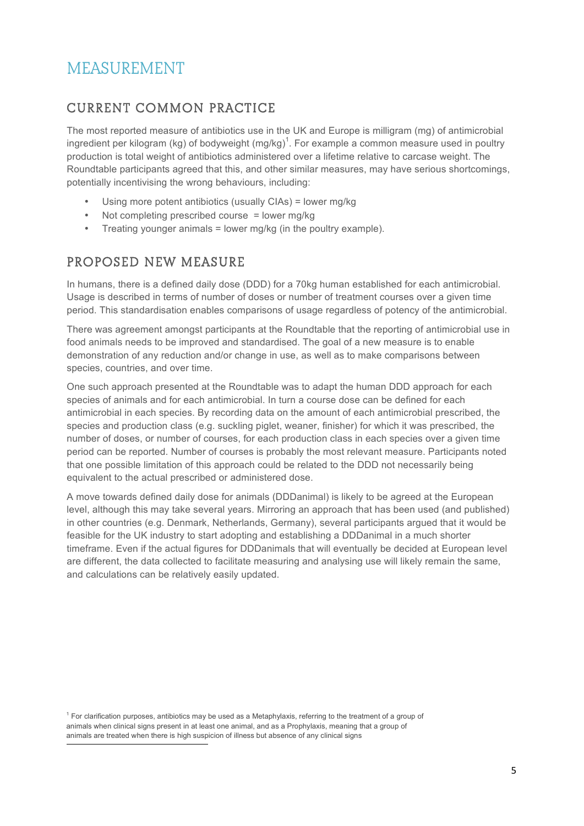# **MEASUREMENT**

## **CURRENT COMMON PRACTICE**

The most reported measure of antibiotics use in the UK and Europe is milligram (mg) of antimicrobial ingredient per kilogram (kg) of bodyweight (mg/kg)<sup>1</sup>. For example a common measure used in poultry production is total weight of antibiotics administered over a lifetime relative to carcase weight. The Roundtable participants agreed that this, and other similar measures, may have serious shortcomings, potentially incentivising the wrong behaviours, including:

- Using more potent antibiotics (usually CIAs) = lower mg/kg
- Not completing prescribed course = lower mg/kg
- Treating younger animals = lower mg/kg (in the poultry example).

### **PROPOSED NEW MEASURE**

In humans, there is a defined daily dose (DDD) for a 70kg human established for each antimicrobial. Usage is described in terms of number of doses or number of treatment courses over a given time period. This standardisation enables comparisons of usage regardless of potency of the antimicrobial.

There was agreement amongst participants at the Roundtable that the reporting of antimicrobial use in food animals needs to be improved and standardised. The goal of a new measure is to enable demonstration of any reduction and/or change in use, as well as to make comparisons between species, countries, and over time.

One such approach presented at the Roundtable was to adapt the human DDD approach for each species of animals and for each antimicrobial. In turn a course dose can be defined for each antimicrobial in each species. By recording data on the amount of each antimicrobial prescribed, the species and production class (e.g. suckling piglet, weaner, finisher) for which it was prescribed, the number of doses, or number of courses, for each production class in each species over a given time period can be reported. Number of courses is probably the most relevant measure. Participants noted that one possible limitation of this approach could be related to the DDD not necessarily being equivalent to the actual prescribed or administered dose.

A move towards defined daily dose for animals (DDDanimal) is likely to be agreed at the European level, although this may take several years. Mirroring an approach that has been used (and published) in other countries (e.g. Denmark, Netherlands, Germany), several participants argued that it would be feasible for the UK industry to start adopting and establishing a DDDanimal in a much shorter timeframe. Even if the actual figures for DDDanimals that will eventually be decided at European level are different, the data collected to facilitate measuring and analysing use will likely remain the same, and calculations can be relatively easily updated.

!!!!!!!!!!!!!!!!!!!!!!!!!!!!!!!!!!!!!!!!!!!!!!!!!!!!!!!!!!!! animals are treated when there is high suspicion of illness but absence of any clinical signs $<sup>1</sup>$  For clarification purposes, antibiotics may be used as a Metaphylaxis, referring to the treatment of a group of</sup> animals when clinical signs present in at least one animal, and as a Prophylaxis, meaning that a group of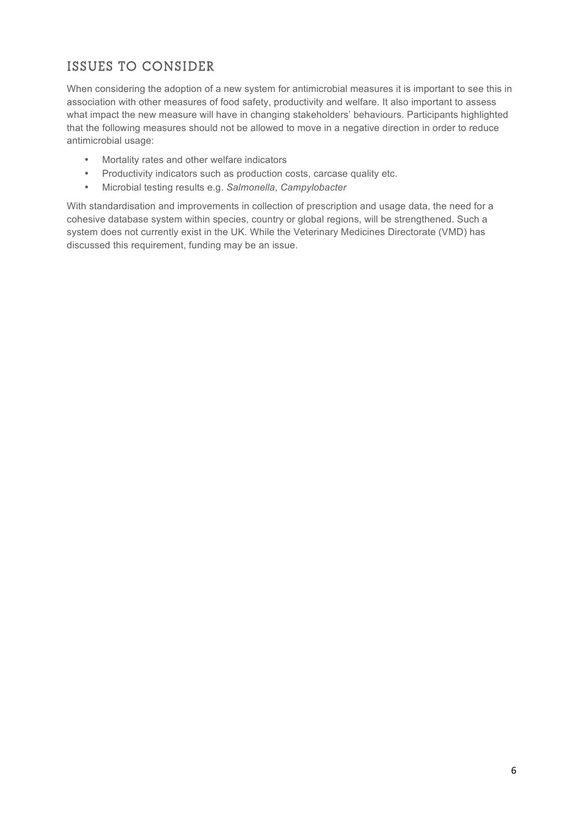## **ISSUES TO CONSIDER**

When considering the adoption of a new system for antimicrobial measures it is important to see this in association with other measures of food safety, productivity and welfare. It also important to assess what impact the new measure will have in changing stakeholders' behaviours. Participants highlighted that the following measures should not be allowed to move in a negative direction in order to reduce antimicrobial usage:

- Mortality rates and other welfare indicators
- Productivity indicators such as production costs, carcase quality etc.
- Microbial testing results e.g. *Salmonella*, *Campylobacter*

With standardisation and improvements in collection of prescription and usage data, the need for a cohesive database system within species, country or global regions, will be strengthened. Such a system does not currently exist in the UK. While the Veterinary Medicines Directorate (VMD) has discussed this requirement, funding may be an issue.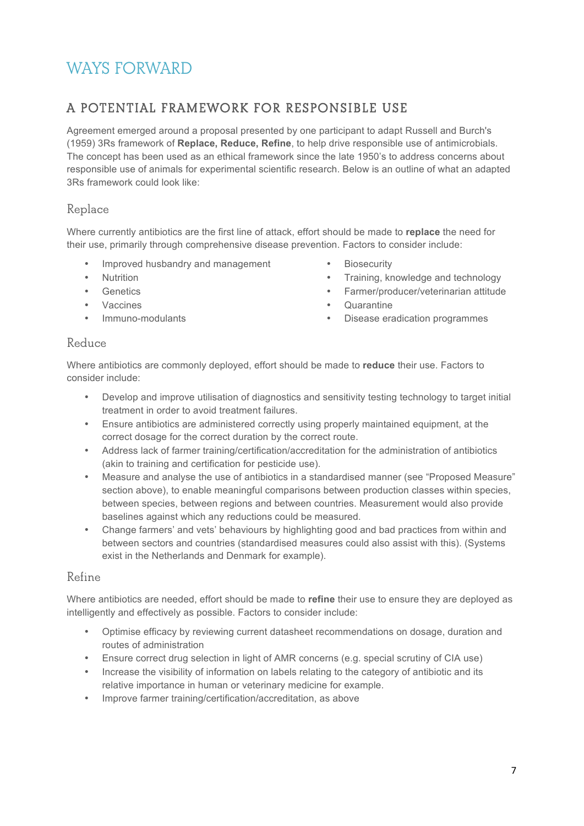# **WAYS FORWARD**

## **A POTENTIAL FRAMEWORK FOR RESPONSIBLE USE**

Agreement emerged around a proposal presented by one participant to adapt Russell and Burch's (1959) 3Rs framework of **Replace, Reduce, Refine**, to help drive responsible use of antimicrobials. The concept has been used as an ethical framework since the late 1950's to address concerns about responsible use of animals for experimental scientific research. Below is an outline of what an adapted 3Rs framework could look like:

#### **Replace**

Where currently antibiotics are the first line of attack, effort should be made to **replace** the need for their use, primarily through comprehensive disease prevention. Factors to consider include:

- Improved husbandry and management
- Nutrition
- **Genetics**
- Vaccines
- Immuno-modulants
- **Biosecurity**
- Training, knowledge and technology
- Farmer/producer/veterinarian attitude
- Quarantine
- Disease eradication programmes

#### **Reduce**

Where antibiotics are commonly deployed, effort should be made to **reduce** their use. Factors to consider include:

- Develop and improve utilisation of diagnostics and sensitivity testing technology to target initial treatment in order to avoid treatment failures.
- Ensure antibiotics are administered correctly using properly maintained equipment, at the correct dosage for the correct duration by the correct route.
- Address lack of farmer training/certification/accreditation for the administration of antibiotics (akin to training and certification for pesticide use).
- Measure and analyse the use of antibiotics in a standardised manner (see "Proposed Measure" section above), to enable meaningful comparisons between production classes within species, between species, between regions and between countries. Measurement would also provide baselines against which any reductions could be measured.
- Change farmers' and vets' behaviours by highlighting good and bad practices from within and between sectors and countries (standardised measures could also assist with this). (Systems exist in the Netherlands and Denmark for example).

#### **Refine**

Where antibiotics are needed, effort should be made to **refine** their use to ensure they are deployed as intelligently and effectively as possible. Factors to consider include:

- Optimise efficacy by reviewing current datasheet recommendations on dosage, duration and routes of administration
- Ensure correct drug selection in light of AMR concerns (e.g. special scrutiny of CIA use)
- Increase the visibility of information on labels relating to the category of antibiotic and its relative importance in human or veterinary medicine for example.
- Improve farmer training/certification/accreditation, as above